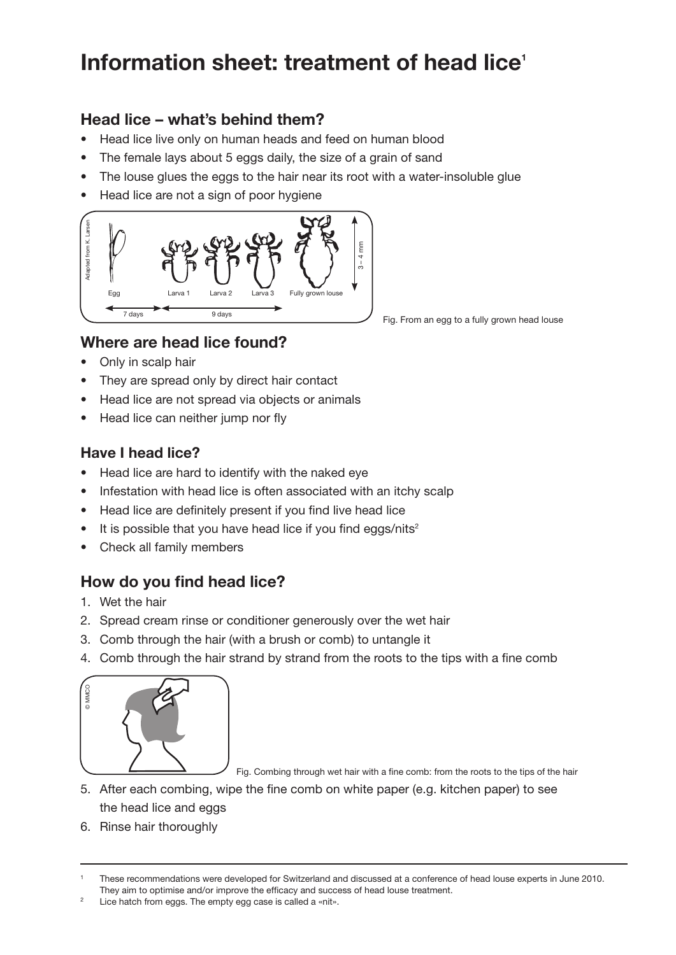# **Information sheet: treatment of head lice<sup>1</sup>**

## **Head lice – what's behind them?**

- Head lice live only on human heads and feed on human blood
- The female lays about 5 eggs daily, the size of a grain of sand
- The louse glues the eggs to the hair near its root with a water-insoluble glue
- Head lice are not a sign of poor hygiene



Fig. From an egg to a fully grown head louse

## **Where are head lice found?**

- Only in scalp hair
- They are spread only by direct hair contact
- Head lice are not spread via objects or animals
- Head lice can neither jump nor fly

#### **Have I head lice?**

- Head lice are hard to identify with the naked eye
- Infestation with head lice is often associated with an itchy scalp
- Head lice are definitely present if you find live head lice
- It is possible that you have head lice if you find eggs/nits<sup>2</sup>
- Check all family members

## **How do you find head lice?**

- 1. Wet the hair
- 2. Spread cream rinse or conditioner generously over the wet hair
- 3. Comb through the hair (with a brush or comb) to untangle it
- 4. Comb through the hair strand by strand from the roots to the tips with a fine comb



Fig. Combing through wet hair with a fine comb: from the roots to the tips of the hair

- 5. After each combing, wipe the fine comb on white paper (e.g. kitchen paper) to see the head lice and eggs
- 6. Rinse hair thoroughly

These recommendations were developed for Switzerland and discussed at a conference of head louse experts in June 2010. They aim to optimise and/or improve the efficacy and success of head louse treatment.

Lice hatch from eggs. The empty egg case is called a «nit».